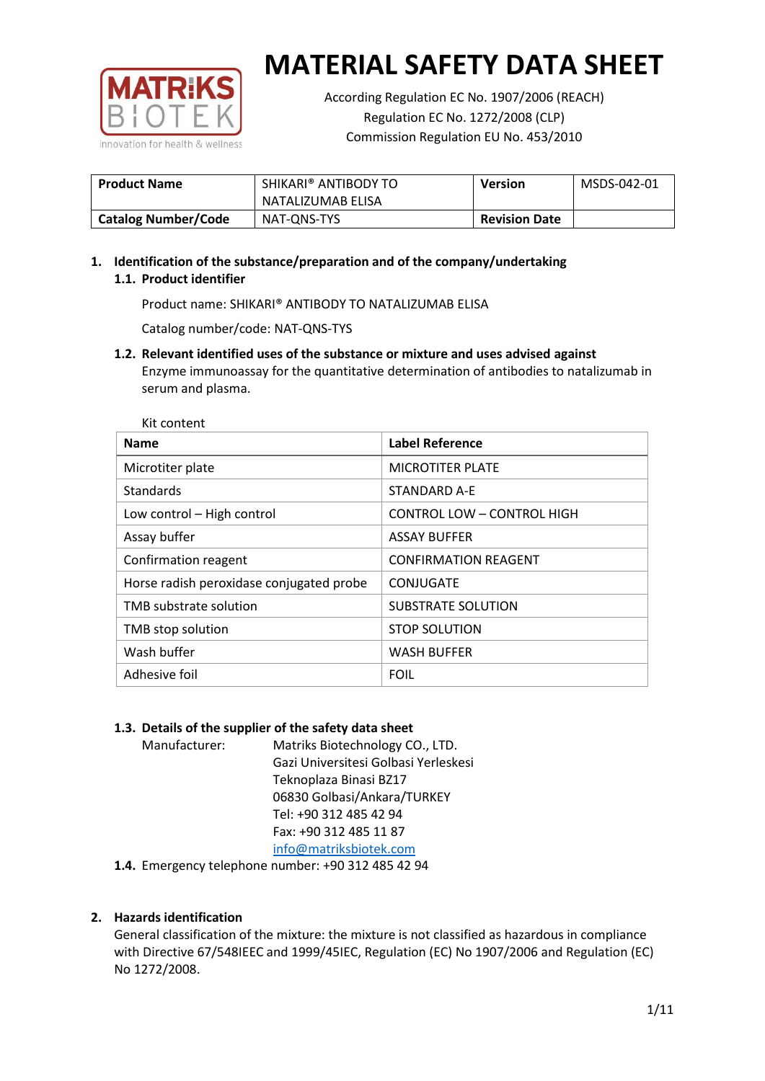

According Regulation EC No. 1907/2006 (REACH) Regulation EC No. 1272/2008 (CLP) Commission Regulation EU No. 453/2010

| <b>Product Name</b>        | SHIKARI® ANTIBODY TO | <b>Version</b>       | MSDS-042-01 |
|----------------------------|----------------------|----------------------|-------------|
|                            | NATALIZUMAB ELISA    |                      |             |
| <b>Catalog Number/Code</b> | NAT-ONS-TYS          | <b>Revision Date</b> |             |

# **1. Identification of the substance/preparation and of the company/undertaking 1.1. Product identifier**

Product name: SHIKARI® ANTIBODY TO NATALIZUMAB ELISA

Catalog number/code: NAT-QNS-TYS

**1.2. Relevant identified uses of the substance or mixture and uses advised against** Enzyme immunoassay for the quantitative determination of antibodies to natalizumab in serum and plasma.

| Kit content                              |                                   |
|------------------------------------------|-----------------------------------|
| <b>Name</b>                              | <b>Label Reference</b>            |
| Microtiter plate                         | <b>MICROTITER PLATE</b>           |
| <b>Standards</b>                         | <b>STANDARD A-E</b>               |
| Low control - High control               | <b>CONTROL LOW - CONTROL HIGH</b> |
| Assay buffer                             | <b>ASSAY BUFFER</b>               |
| Confirmation reagent                     | <b>CONFIRMATION REAGENT</b>       |
| Horse radish peroxidase conjugated probe | CONJUGATE                         |
| TMB substrate solution                   | <b>SUBSTRATE SOLUTION</b>         |
| TMB stop solution                        | <b>STOP SOLUTION</b>              |
| Wash buffer                              | <b>WASH BUFFER</b>                |
| Adhesive foil                            | <b>FOIL</b>                       |

## **1.3. Details of the supplier of the safety data sheet**

Manufacturer: Matriks Biotechnology CO., LTD. Gazi Universitesi Golbasi Yerleskesi Teknoplaza Binasi BZ17 06830 Golbasi/Ankara/TURKEY Tel: +90 312 485 42 94 Fax: +90 312 485 11 87 [info@matriksbiotek.com](mailto:info@matriksbiotek.com)

**1.4.** Emergency telephone number: +90 312 485 42 94

## **2. Hazards identification**

General classification of the mixture: the mixture is not classified as hazardous in compliance with Directive 67/548IEEC and 1999/45IEC, Regulation (EC) No 1907/2006 and Regulation (EC) No 1272/2008.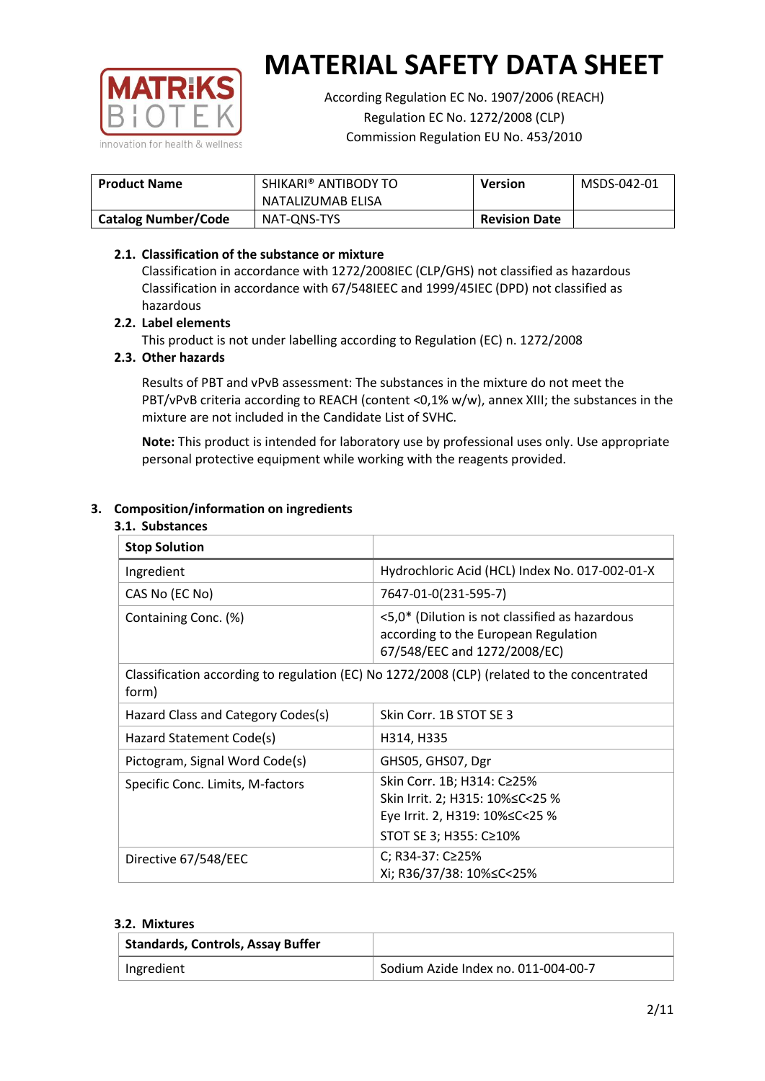

According Regulation EC No. 1907/2006 (REACH) Regulation EC No. 1272/2008 (CLP) Commission Regulation EU No. 453/2010

| <b>Product Name</b>        | SHIKARI® ANTIBODY TO<br>NATALIZUMAB ELISA | <b>Version</b>       | MSDS-042-01 |
|----------------------------|-------------------------------------------|----------------------|-------------|
| <b>Catalog Number/Code</b> | NAT-ONS-TYS                               | <b>Revision Date</b> |             |
|                            |                                           |                      |             |

## **2.1. Classification of the substance or mixture**

Classification in accordance with 1272/2008IEC (CLP/GHS) not classified as hazardous Classification in accordance with 67/548IEEC and 1999/45IEC (DPD) not classified as hazardous

## **2.2. Label elements**

This product is not under labelling according to Regulation (EC) n. 1272/2008

#### **2.3. Other hazards**

Results of PBT and vPvB assessment: The substances in the mixture do not meet the PBT/vPvB criteria according to REACH (content <0,1% w/w), annex XIII; the substances in the mixture are not included in the Candidate List of SVHC.

**Note:** This product is intended for laboratory use by professional uses only. Use appropriate personal protective equipment while working with the reagents provided.

## **3. Composition/information on ingredients**

| 3.1. Substances                    |                                                                                                                               |
|------------------------------------|-------------------------------------------------------------------------------------------------------------------------------|
| <b>Stop Solution</b>               |                                                                                                                               |
| Ingredient                         | Hydrochloric Acid (HCL) Index No. 017-002-01-X                                                                                |
| CAS No (EC No)                     | 7647-01-0(231-595-7)                                                                                                          |
| Containing Conc. (%)               | <5,0* (Dilution is not classified as hazardous<br>according to the European Regulation<br>67/548/EEC and 1272/2008/EC)        |
| form)                              | Classification according to regulation (EC) No 1272/2008 (CLP) (related to the concentrated                                   |
| Hazard Class and Category Codes(s) | Skin Corr. 1B STOT SE 3                                                                                                       |
| Hazard Statement Code(s)           | H314, H335                                                                                                                    |
| Pictogram, Signal Word Code(s)     | GHS05, GHS07, Dgr                                                                                                             |
| Specific Conc. Limits, M-factors   | Skin Corr. 1B; H314: C≥25%<br>Skin Irrit. 2; H315: 10% ≤ C < 25 %<br>Eye Irrit. 2, H319: 10%≤C<25 %<br>STOT SE 3; H355: C≥10% |
| Directive 67/548/EEC               | C; R34-37: C≥25%<br>Xi; R36/37/38: 10% <<<<<<<                                                                                |

#### **3.2. Mixtures**

| <b>Standards, Controls, Assay Buffer</b> |                                     |
|------------------------------------------|-------------------------------------|
| Ingredient                               | Sodium Azide Index no. 011-004-00-7 |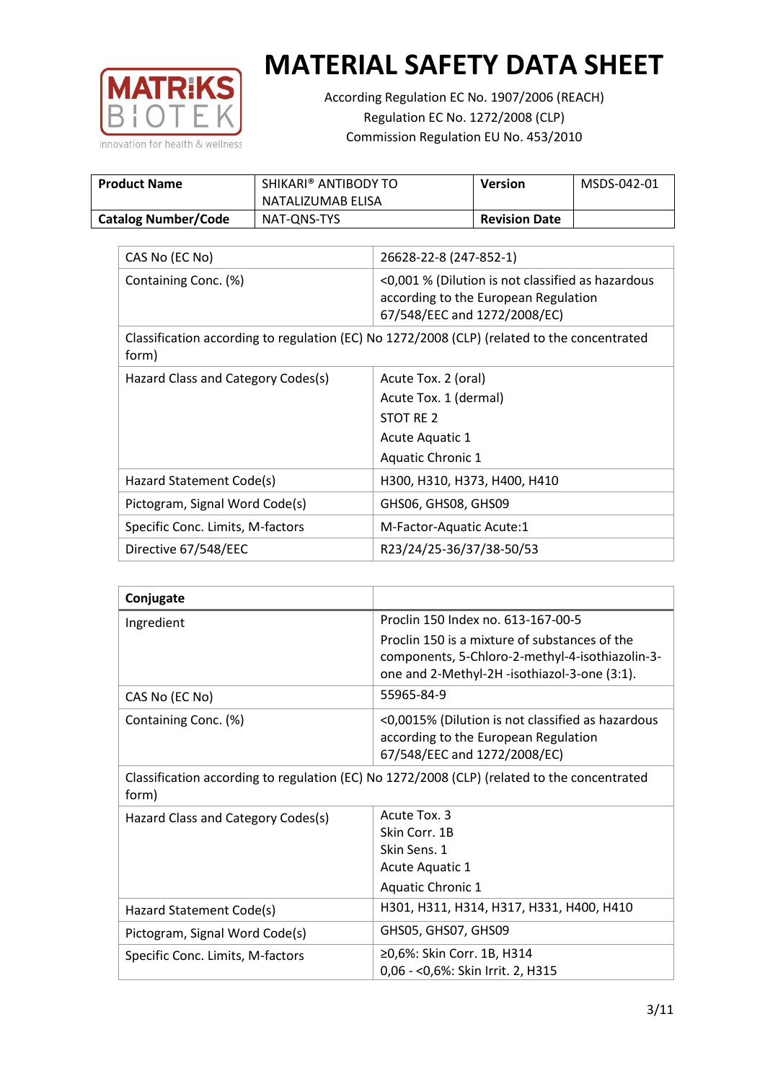

According Regulation EC No. 1907/2006 (REACH) Regulation EC No. 1272/2008 (CLP) Commission Regulation EU No. 453/2010

| <b>Product Name</b>        | SHIKARI® ANTIBODY TO | <b>Version</b>       | MSDS-042-01 |
|----------------------------|----------------------|----------------------|-------------|
|                            | NATALIZUMAB ELISA    |                      |             |
| <b>Catalog Number/Code</b> | NAT-ONS-TYS          | <b>Revision Date</b> |             |

| CAS No (EC No)                     | 26628-22-8 (247-852-1)                                                                                                    |
|------------------------------------|---------------------------------------------------------------------------------------------------------------------------|
| Containing Conc. (%)               | <0,001 % (Dilution is not classified as hazardous<br>according to the European Regulation<br>67/548/EEC and 1272/2008/EC) |
| form)                              | Classification according to regulation (EC) No 1272/2008 (CLP) (related to the concentrated                               |
| Hazard Class and Category Codes(s) | Acute Tox. 2 (oral)                                                                                                       |
|                                    | Acute Tox. 1 (dermal)                                                                                                     |
|                                    | STOT RE 2                                                                                                                 |
|                                    | Acute Aquatic 1                                                                                                           |
|                                    | Aquatic Chronic 1                                                                                                         |
| Hazard Statement Code(s)           | H300, H310, H373, H400, H410                                                                                              |
| Pictogram, Signal Word Code(s)     | GHS06, GHS08, GHS09                                                                                                       |
| Specific Conc. Limits, M-factors   | M-Factor-Aquatic Acute:1                                                                                                  |
| Directive 67/548/EEC               | R23/24/25-36/37/38-50/53                                                                                                  |

| Conjugate                                                                                            |                                                                                                                                                  |
|------------------------------------------------------------------------------------------------------|--------------------------------------------------------------------------------------------------------------------------------------------------|
| Ingredient                                                                                           | Proclin 150 Index no. 613-167-00-5                                                                                                               |
|                                                                                                      | Proclin 150 is a mixture of substances of the<br>components, 5-Chloro-2-methyl-4-isothiazolin-3-<br>one and 2-Methyl-2H -isothiazol-3-one (3:1). |
| CAS No (EC No)                                                                                       | 55965-84-9                                                                                                                                       |
| Containing Conc. (%)                                                                                 | <0,0015% (Dilution is not classified as hazardous<br>according to the European Regulation<br>67/548/EEC and 1272/2008/EC)                        |
| Classification according to regulation (EC) No 1272/2008 (CLP) (related to the concentrated<br>form) |                                                                                                                                                  |
| Hazard Class and Category Codes(s)                                                                   | Acute Tox. 3                                                                                                                                     |
|                                                                                                      | Skin Corr. 1B                                                                                                                                    |
|                                                                                                      | Skin Sens. 1                                                                                                                                     |
|                                                                                                      | <b>Acute Aquatic 1</b>                                                                                                                           |
|                                                                                                      | Aquatic Chronic 1                                                                                                                                |
| Hazard Statement Code(s)                                                                             | H301, H311, H314, H317, H331, H400, H410                                                                                                         |
| Pictogram, Signal Word Code(s)                                                                       | GHS05, GHS07, GHS09                                                                                                                              |
| Specific Conc. Limits, M-factors                                                                     | ≥0,6%: Skin Corr. 1B, H314                                                                                                                       |
|                                                                                                      | 0,06 - < 0,6%: Skin Irrit. 2, H315                                                                                                               |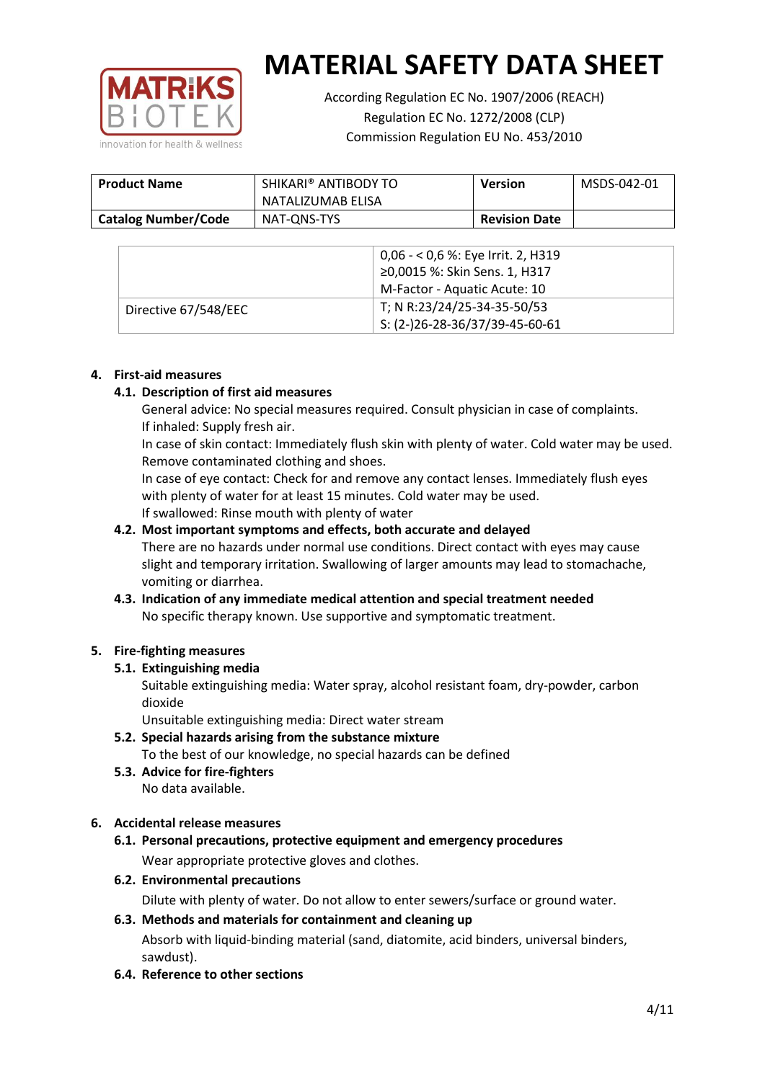

According Regulation EC No. 1907/2006 (REACH) Regulation EC No. 1272/2008 (CLP) Commission Regulation EU No. 453/2010

| <b>Product Name</b>        | SHIKARI® ANTIBODY TO<br>NATALIZUMAB ELISA | Version              | MSDS-042-01 |
|----------------------------|-------------------------------------------|----------------------|-------------|
| <b>Catalog Number/Code</b> | NAT-ONS-TYS                               | <b>Revision Date</b> |             |

|                      | $0,06 - 0,6$ %: Eye Irrit. 2, H319<br>≥0,0015 %: Skin Sens. 1, H317<br>M-Factor - Aquatic Acute: 10 |
|----------------------|-----------------------------------------------------------------------------------------------------|
| Directive 67/548/EEC | T; N R:23/24/25-34-35-50/53<br>S: (2-)26-28-36/37/39-45-60-61                                       |

## **4. First-aid measures**

## **4.1. Description of first aid measures**

General advice: No special measures required. Consult physician in case of complaints. If inhaled: Supply fresh air.

In case of skin contact: Immediately flush skin with plenty of water. Cold water may be used. Remove contaminated clothing and shoes.

In case of eye contact: Check for and remove any contact lenses. Immediately flush eyes with plenty of water for at least 15 minutes. Cold water may be used.

If swallowed: Rinse mouth with plenty of water

# **4.2. Most important symptoms and effects, both accurate and delayed**

There are no hazards under normal use conditions. Direct contact with eyes may cause slight and temporary irritation. Swallowing of larger amounts may lead to stomachache, vomiting or diarrhea.

## **4.3. Indication of any immediate medical attention and special treatment needed** No specific therapy known. Use supportive and symptomatic treatment.

## **5. Fire-fighting measures**

#### **5.1. Extinguishing media**

Suitable extinguishing media: Water spray, alcohol resistant foam, dry-powder, carbon dioxide

Unsuitable extinguishing media: Direct water stream

## **5.2. Special hazards arising from the substance mixture**

To the best of our knowledge, no special hazards can be defined

**5.3. Advice for fire-fighters** No data available.

## **6. Accidental release measures**

- **6.1. Personal precautions, protective equipment and emergency procedures** Wear appropriate protective gloves and clothes.
- **6.2. Environmental precautions** Dilute with plenty of water. Do not allow to enter sewers/surface or ground water.

# **6.3. Methods and materials for containment and cleaning up** Absorb with liquid-binding material (sand, diatomite, acid binders, universal binders, sawdust).

**6.4. Reference to other sections**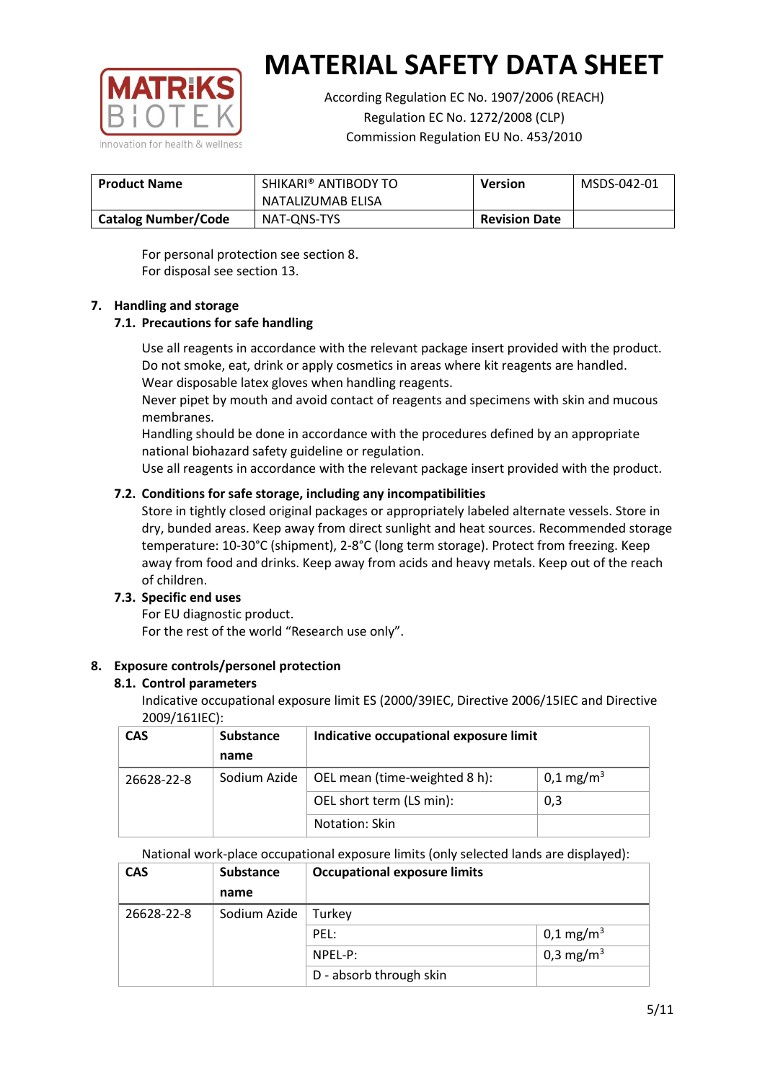

According Regulation EC No. 1907/2006 (REACH) Regulation EC No. 1272/2008 (CLP) Commission Regulation EU No. 453/2010

| <b>Product Name</b>        | SHIKARI® ANTIBODY TO<br><b>Version</b><br>NATALIZUMAB ELISA |                      | MSDS-042-01 |
|----------------------------|-------------------------------------------------------------|----------------------|-------------|
| <b>Catalog Number/Code</b> | NAT-ONS-TYS                                                 | <b>Revision Date</b> |             |

For personal protection see section 8. For disposal see section 13.

## **7. Handling and storage**

## **7.1. Precautions for safe handling**

Use all reagents in accordance with the relevant package insert provided with the product. Do not smoke, eat, drink or apply cosmetics in areas where kit reagents are handled. Wear disposable latex gloves when handling reagents.

Never pipet by mouth and avoid contact of reagents and specimens with skin and mucous membranes.

Handling should be done in accordance with the procedures defined by an appropriate national biohazard safety guideline or regulation.

Use all reagents in accordance with the relevant package insert provided with the product.

## **7.2. Conditions for safe storage, including any incompatibilities**

Store in tightly closed original packages or appropriately labeled alternate vessels. Store in dry, bunded areas. Keep away from direct sunlight and heat sources. Recommended storage temperature: 10-30°C (shipment), 2-8°C (long term storage). Protect from freezing. Keep away from food and drinks. Keep away from acids and heavy metals. Keep out of the reach of children.

#### **7.3. Specific end uses**

For EU diagnostic product. For the rest of the world "Research use only".

#### **8. Exposure controls/personel protection**

#### **8.1. Control parameters**

Indicative occupational exposure limit ES (2000/39IEC, Directive 2006/15IEC and Directive 2009/161IEC):

| <b>CAS</b> | <b>Substance</b> | Indicative occupational exposure limit |                       |
|------------|------------------|----------------------------------------|-----------------------|
|            | name             |                                        |                       |
| 26628-22-8 | Sodium Azide     | OEL mean (time-weighted 8 h):          | 0,1 mg/m <sup>3</sup> |
|            |                  | OEL short term (LS min):               | 0,3                   |
|            |                  | Notation: Skin                         |                       |

National work-place occupational exposure limits (only selected lands are displayed):

| <b>CAS</b> | <b>Substance</b> | <b>Occupational exposure limits</b> |                       |
|------------|------------------|-------------------------------------|-----------------------|
|            | name             |                                     |                       |
| 26628-22-8 | Sodium Azide     | Turkey                              |                       |
|            |                  | PEL:                                | $0,1 \text{ mg/m}^3$  |
|            |                  | NPEL-P:                             | 0,3 mg/m <sup>3</sup> |
|            |                  | D - absorb through skin             |                       |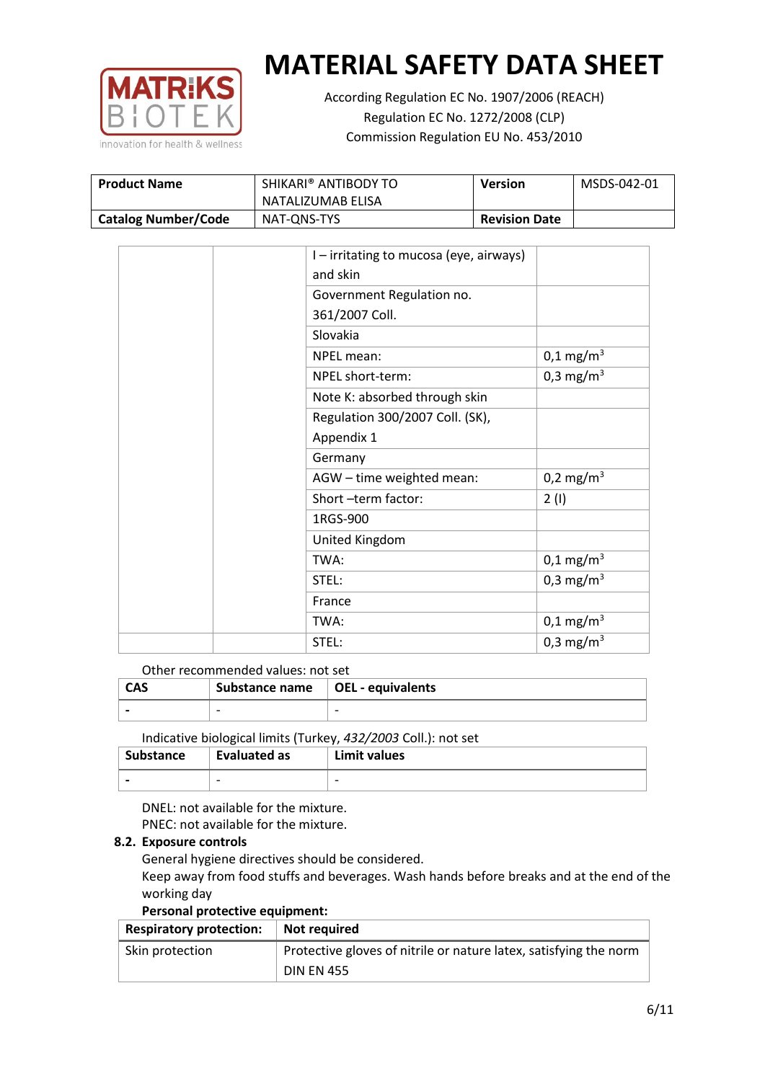

According Regulation EC No. 1907/2006 (REACH) Regulation EC No. 1272/2008 (CLP) Commission Regulation EU No. 453/2010

| <b>Product Name</b>        | SHIKARI® ANTIBODY TO | <b>Version</b>       | MSDS-042-01 |
|----------------------------|----------------------|----------------------|-------------|
|                            | NATALIZUMAB ELISA    |                      |             |
| <b>Catalog Number/Code</b> | NAT-ONS-TYS          | <b>Revision Date</b> |             |

|  | I - irritating to mucosa (eye, airways) |                         |
|--|-----------------------------------------|-------------------------|
|  | and skin                                |                         |
|  | Government Regulation no.               |                         |
|  | 361/2007 Coll.                          |                         |
|  | Slovakia                                |                         |
|  | NPEL mean:                              | $0,1 \,\mathrm{mg/m^3}$ |
|  | NPEL short-term:                        | $0,3 \text{ mg/m}^3$    |
|  | Note K: absorbed through skin           |                         |
|  | Regulation 300/2007 Coll. (SK),         |                         |
|  | Appendix 1                              |                         |
|  | Germany                                 |                         |
|  | AGW - time weighted mean:               | 0,2 mg/m <sup>3</sup>   |
|  | Short-term factor:                      | 2(1)                    |
|  | 1RGS-900                                |                         |
|  | United Kingdom                          |                         |
|  | TWA:                                    | $0,1 \,\mathrm{mg/m^3}$ |
|  | STEL:                                   | 0,3 mg/m <sup>3</sup>   |
|  | France                                  |                         |
|  | TWA:                                    | $0,1 \,\mathrm{mg/m^3}$ |
|  | STEL:                                   | 0,3 mg/m <sup>3</sup>   |

Other recommended values: not set

| <b>CAS</b> | Substance name   OEL - equivalents |   |
|------------|------------------------------------|---|
|            | $\overline{\phantom{0}}$           | - |
|            |                                    |   |

Indicative biological limits (Turkey, *432/2003* Coll.): not set

| Substance                | Evaluated as             | Limit values             |
|--------------------------|--------------------------|--------------------------|
| $\overline{\phantom{0}}$ | $\overline{\phantom{0}}$ | $\overline{\phantom{0}}$ |

DNEL: not available for the mixture. PNEC: not available for the mixture.

## **8.2. Exposure controls**

General hygiene directives should be considered.

Keep away from food stuffs and beverages. Wash hands before breaks and at the end of the working day

#### **Personal protective equipment:**

| <b>Respiratory protection:</b> | Not required                                                      |
|--------------------------------|-------------------------------------------------------------------|
| Skin protection                | Protective gloves of nitrile or nature latex, satisfying the norm |
|                                | <b>DIN EN 455</b>                                                 |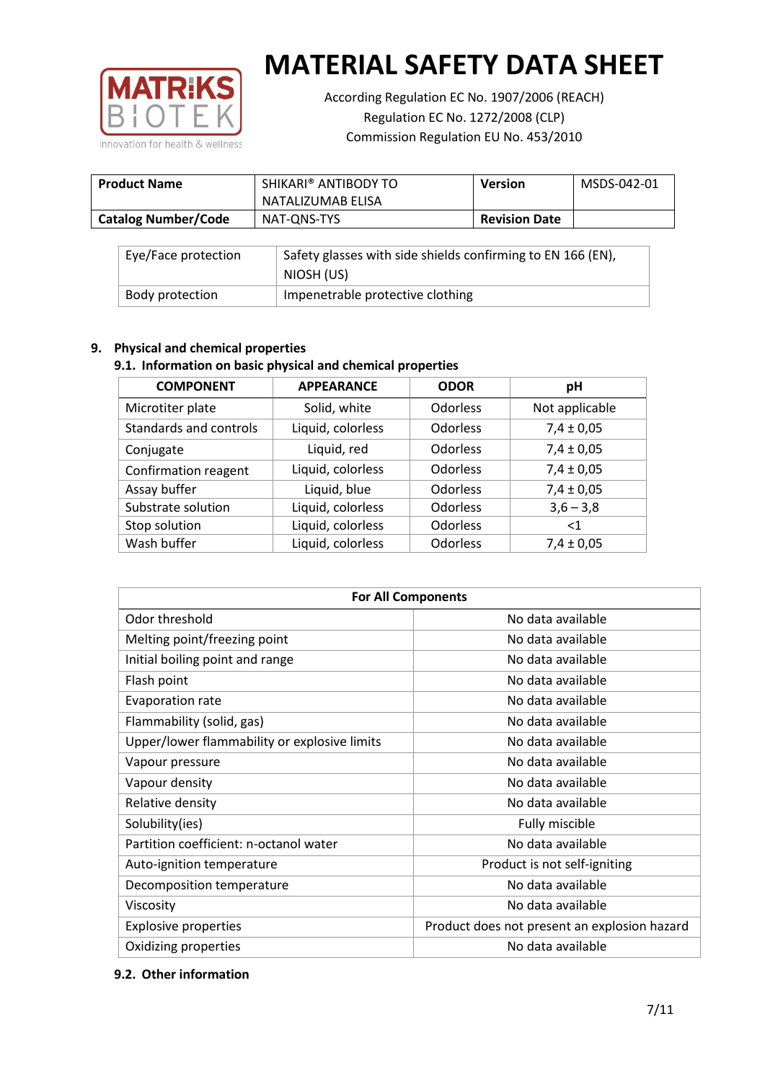

According Regulation EC No. 1907/2006 (REACH) Regulation EC No. 1272/2008 (CLP) Commission Regulation EU No. 453/2010

| <b>Product Name</b>        | SHIKARI® ANTIBODY TO<br>NATALIZUMAB ELISA | <b>Version</b>       | MSDS-042-01 |
|----------------------------|-------------------------------------------|----------------------|-------------|
| <b>Catalog Number/Code</b> | NAT-ONS-TYS                               | <b>Revision Date</b> |             |

| Eye/Face protection | Safety glasses with side shields confirming to EN 166 (EN),<br>NIOSH (US) |
|---------------------|---------------------------------------------------------------------------|
| Body protection     | Impenetrable protective clothing                                          |

## **9. Physical and chemical properties**

# **9.1. Information on basic physical and chemical properties**

| <b>COMPONENT</b>       | <b>APPEARANCE</b> | <b>ODOR</b>     | рH             |
|------------------------|-------------------|-----------------|----------------|
| Microtiter plate       | Solid, white      | Odorless        | Not applicable |
| Standards and controls | Liquid, colorless | <b>Odorless</b> | $7,4 \pm 0,05$ |
| Conjugate              | Liquid, red       | <b>Odorless</b> | $7,4 \pm 0,05$ |
| Confirmation reagent   | Liquid, colorless | <b>Odorless</b> | $7,4 \pm 0,05$ |
| Assay buffer           | Liquid, blue      | <b>Odorless</b> | $7,4 \pm 0,05$ |
| Substrate solution     | Liquid, colorless | Odorless        | $3,6 - 3,8$    |
| Stop solution          | Liquid, colorless | <b>Odorless</b> | $<$ 1          |
| Wash buffer            | Liquid, colorless | Odorless        | $7,4 \pm 0,05$ |

| <b>For All Components</b>                    |                                              |  |  |
|----------------------------------------------|----------------------------------------------|--|--|
| Odor threshold                               | No data available                            |  |  |
| Melting point/freezing point                 | No data available                            |  |  |
| Initial boiling point and range              | No data available                            |  |  |
| Flash point                                  | No data available                            |  |  |
| <b>Evaporation rate</b>                      | No data available                            |  |  |
| Flammability (solid, gas)                    | No data available                            |  |  |
| Upper/lower flammability or explosive limits | No data available                            |  |  |
| Vapour pressure                              | No data available                            |  |  |
| Vapour density                               | No data available                            |  |  |
| Relative density                             | No data available                            |  |  |
| Solubility(ies)                              | Fully miscible                               |  |  |
| Partition coefficient: n-octanol water       | No data available                            |  |  |
| Auto-ignition temperature                    | Product is not self-igniting                 |  |  |
| Decomposition temperature                    | No data available                            |  |  |
| Viscosity                                    | No data available                            |  |  |
| <b>Explosive properties</b>                  | Product does not present an explosion hazard |  |  |
| Oxidizing properties                         | No data available                            |  |  |

## **9.2. Other information**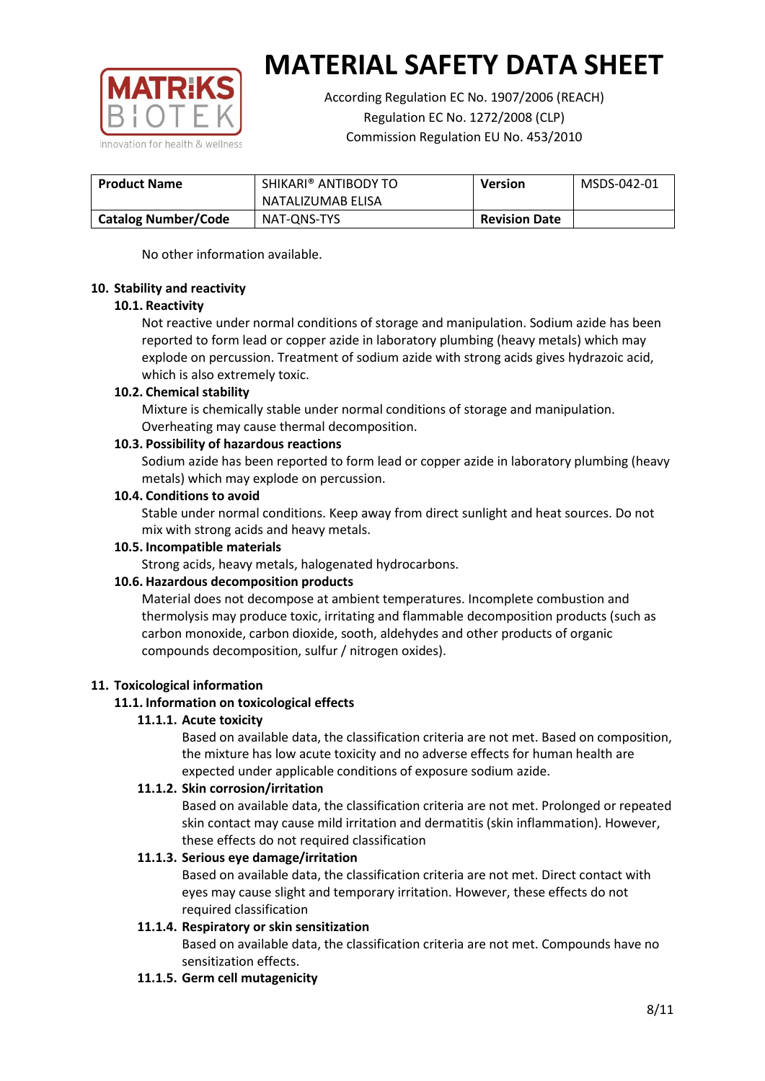

According Regulation EC No. 1907/2006 (REACH) Regulation EC No. 1272/2008 (CLP) Commission Regulation EU No. 453/2010

| <b>Product Name</b>        | SHIKARI® ANTIBODY TO | <b>Version</b>       | MSDS-042-01 |
|----------------------------|----------------------|----------------------|-------------|
|                            | NATALIZUMAB ELISA    |                      |             |
| <b>Catalog Number/Code</b> | NAT-ONS-TYS          | <b>Revision Date</b> |             |

No other information available.

## **10. Stability and reactivity**

## **10.1. Reactivity**

Not reactive under normal conditions of storage and manipulation. Sodium azide has been reported to form lead or copper azide in laboratory plumbing (heavy metals) which may explode on percussion. Treatment of sodium azide with strong acids gives hydrazoic acid, which is also extremely toxic.

## **10.2. Chemical stability**

Mixture is chemically stable under normal conditions of storage and manipulation. Overheating may cause thermal decomposition.

## **10.3. Possibility of hazardous reactions**

Sodium azide has been reported to form lead or copper azide in laboratory plumbing (heavy metals) which may explode on percussion.

## **10.4. Conditions to avoid**

Stable under normal conditions. Keep away from direct sunlight and heat sources. Do not mix with strong acids and heavy metals.

#### **10.5. Incompatible materials**

Strong acids, heavy metals, halogenated hydrocarbons.

## **10.6. Hazardous decomposition products**

Material does not decompose at ambient temperatures. Incomplete combustion and thermolysis may produce toxic, irritating and flammable decomposition products (such as carbon monoxide, carbon dioxide, sooth, aldehydes and other products of organic compounds decomposition, sulfur / nitrogen oxides).

## **11. Toxicological information**

## **11.1. Information on toxicological effects**

#### **11.1.1. Acute toxicity**

Based on available data, the classification criteria are not met. Based on composition, the mixture has low acute toxicity and no adverse effects for human health are expected under applicable conditions of exposure sodium azide.

#### **11.1.2. Skin corrosion/irritation**

Based on available data, the classification criteria are not met. Prolonged or repeated skin contact may cause mild irritation and dermatitis (skin inflammation). However, these effects do not required classification

## **11.1.3. Serious eye damage/irritation**

Based on available data, the classification criteria are not met. Direct contact with eyes may cause slight and temporary irritation. However, these effects do not required classification

## **11.1.4. Respiratory or skin sensitization**

Based on available data, the classification criteria are not met. Compounds have no sensitization effects.

#### **11.1.5. Germ cell mutagenicity**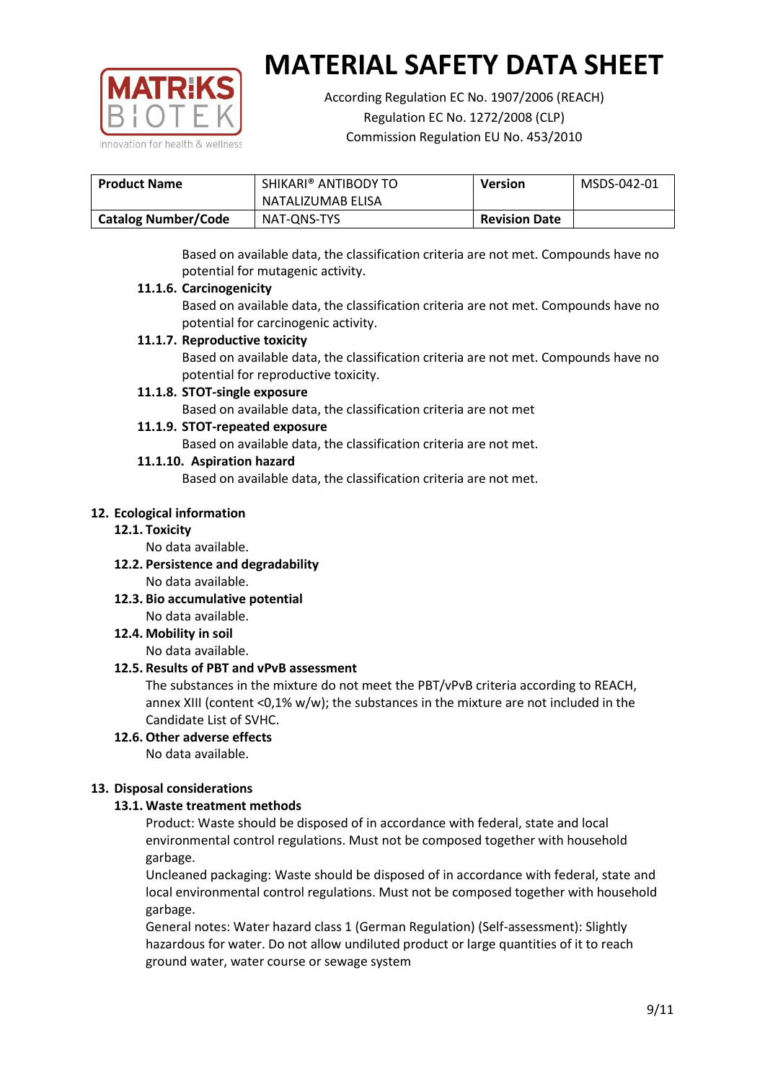

According Regulation EC No. 1907/2006 (REACH) Regulation EC No. 1272/2008 (CLP) Commission Regulation EU No. 453/2010

| <b>Product Name</b>        | SHIKARI® ANTIBODY TO | <b>Version</b>       | MSDS-042-01 |
|----------------------------|----------------------|----------------------|-------------|
|                            | NATALIZUMAB ELISA    |                      |             |
| <b>Catalog Number/Code</b> | NAT-ONS-TYS          | <b>Revision Date</b> |             |

Based on available data, the classification criteria are not met. Compounds have no potential for mutagenic activity.

## **11.1.6. Carcinogenicity**

Based on available data, the classification criteria are not met. Compounds have no potential for carcinogenic activity.

## **11.1.7. Reproductive toxicity**

Based on available data, the classification criteria are not met. Compounds have no potential for reproductive toxicity.

## **11.1.8. STOT-single exposure**

Based on available data, the classification criteria are not met

## **11.1.9. STOT-repeated exposure**

Based on available data, the classification criteria are not met.

## **11.1.10. Aspiration hazard**

Based on available data, the classification criteria are not met.

## **12. Ecological information**

#### **12.1. Toxicity**

No data available.

- **12.2. Persistence and degradability** No data available.
- **12.3. Bio accumulative potential** No data available.

**12.4. Mobility in soil**

No data available.

## **12.5. Results of PBT and vPvB assessment**

The substances in the mixture do not meet the PBT/vPvB criteria according to REACH, annex XIII (content <0,1% w/w); the substances in the mixture are not included in the Candidate List of SVHC.

#### **12.6. Other adverse effects** No data available.

## **13. Disposal considerations**

## **13.1. Waste treatment methods**

Product: Waste should be disposed of in accordance with federal, state and local environmental control regulations. Must not be composed together with household garbage.

Uncleaned packaging: Waste should be disposed of in accordance with federal, state and local environmental control regulations. Must not be composed together with household garbage.

General notes: Water hazard class 1 (German Regulation) (Self-assessment): Slightly hazardous for water. Do not allow undiluted product or large quantities of it to reach ground water, water course or sewage system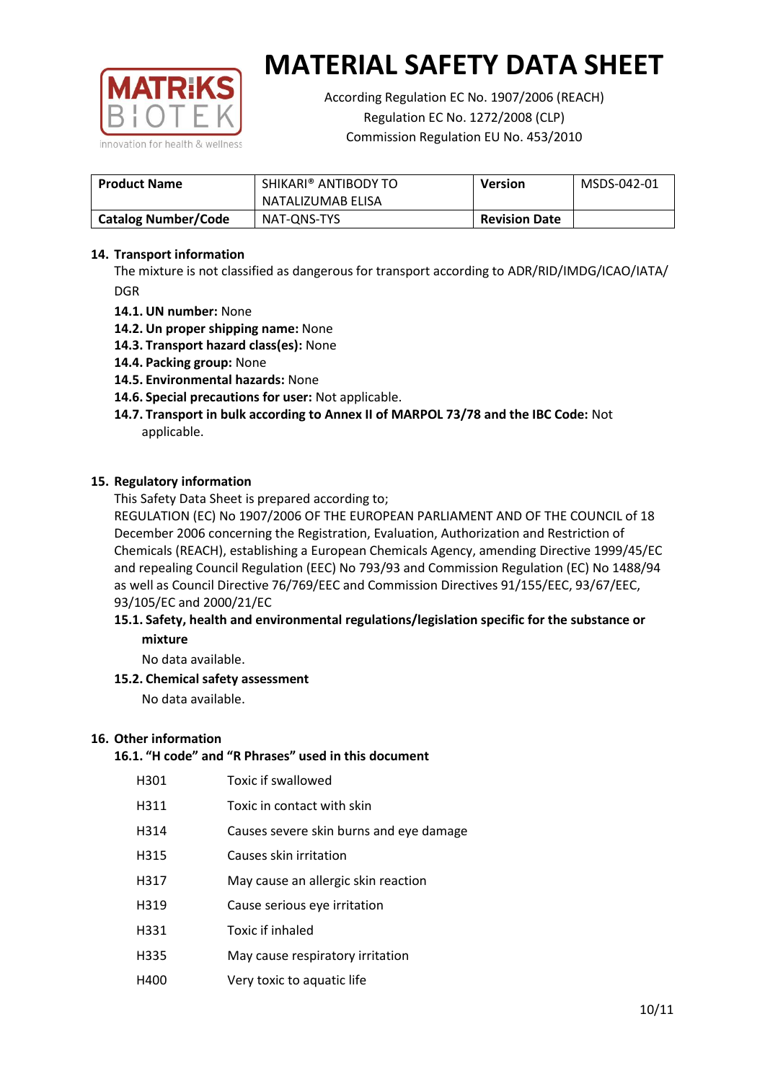

According Regulation EC No. 1907/2006 (REACH) Regulation EC No. 1272/2008 (CLP) Commission Regulation EU No. 453/2010

| <b>Product Name</b>        | SHIKARI® ANTIBODY TO<br><b>Version</b><br>NATALIZUMAB ELISA |                      | MSDS-042-01 |
|----------------------------|-------------------------------------------------------------|----------------------|-------------|
| <b>Catalog Number/Code</b> | NAT-ONS-TYS                                                 | <b>Revision Date</b> |             |

## **14. Transport information**

The mixture is not classified as dangerous for transport according to ADR/RID/IMDG/ICAO/IATA/ DGR

- **14.1. UN number:** None
- **14.2. Un proper shipping name:** None
- **14.3. Transport hazard class(es):** None
- **14.4. Packing group:** None
- **14.5. Environmental hazards:** None
- **14.6. Special precautions for user:** Not applicable.
- **14.7. Transport in bulk according to Annex II of MARPOL 73/78 and the IBC Code:** Not applicable.

#### **15. Regulatory information**

This Safety Data Sheet is prepared according to;

REGULATION (EC) No 1907/2006 OF THE EUROPEAN PARLIAMENT AND OF THE COUNCIL of 18 December 2006 concerning the Registration, Evaluation, Authorization and Restriction of Chemicals (REACH), establishing a European Chemicals Agency, amending Directive 1999/45/EC and repealing Council Regulation (EEC) No 793/93 and Commission Regulation (EC) No 1488/94 as well as Council Directive 76/769/EEC and Commission Directives 91/155/EEC, 93/67/EEC, 93/105/EC and 2000/21/EC

## **15.1. Safety, health and environmental regulations/legislation specific for the substance or mixture**

No data available.

## **15.2. Chemical safety assessment**

No data available.

#### **16. Other information**

## **16.1. "H code" and "R Phrases" used in this document**

| H301 | Toxic if swallowed |
|------|--------------------|
|------|--------------------|

- H311 Toxic in contact with skin
- H314 Causes severe skin burns and eye damage
- H315 Causes skin irritation
- H317 May cause an allergic skin reaction
- H319 Cause serious eye irritation
- H331 Toxic if inhaled
- H335 May cause respiratory irritation
- H400 Very toxic to aquatic life